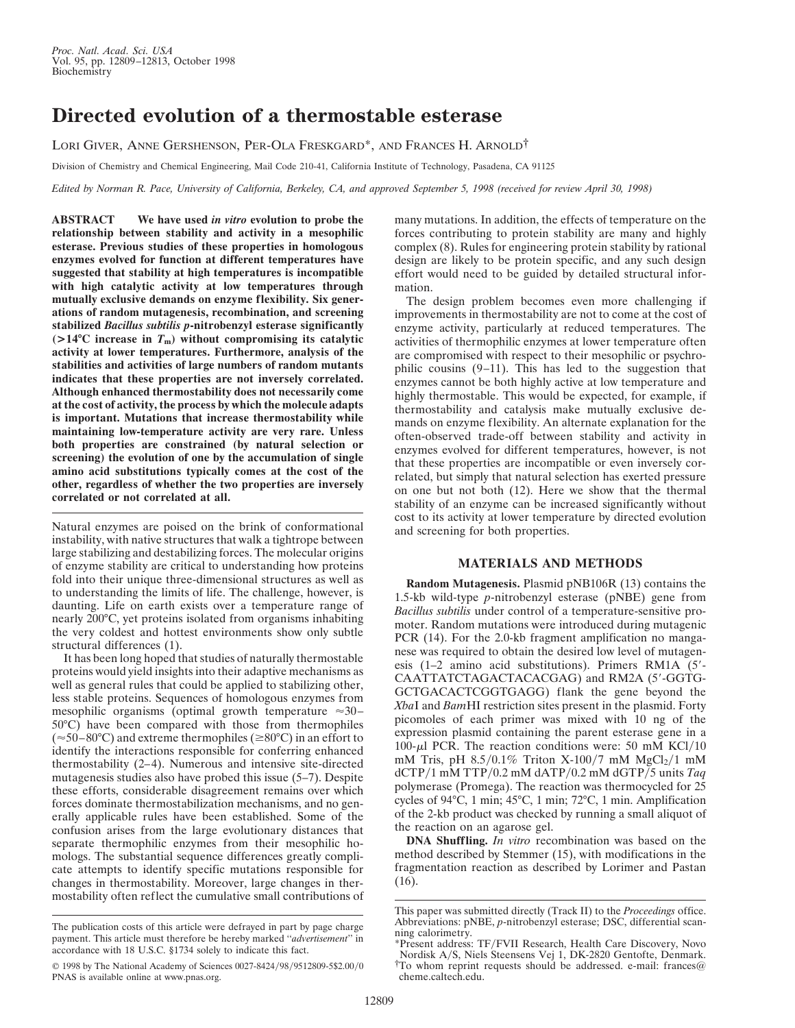## **Directed evolution of a thermostable esterase**

LORI GIVER, ANNE GERSHENSON, PER-OLA FRESKGARD\*, AND FRANCES H. ARNOLD†

Division of Chemistry and Chemical Engineering, Mail Code 210-41, California Institute of Technology, Pasadena, CA 91125

*Edited by Norman R. Pace, University of California, Berkeley, CA, and approved September 5, 1998 (received for review April 30, 1998)*

**ABSTRACT We have used** *in vitro* **evolution to probe the relationship between stability and activity in a mesophilic esterase. Previous studies of these properties in homologous enzymes evolved for function at different temperatures have suggested that stability at high temperatures is incompatible with high catalytic activity at low temperatures through mutually exclusive demands on enzyme flexibility. Six generations of random mutagenesis, recombination, and screening stabilized** *Bacillus subtilis p***-nitrobenzyl esterase significantly**  $(>14^{\circ}$ C increase in  $T_m$ ) without compromising its catalytic **activity at lower temperatures. Furthermore, analysis of the stabilities and activities of large numbers of random mutants indicates that these properties are not inversely correlated. Although enhanced thermostability does not necessarily come at the cost of activity, the process by which the molecule adapts is important. Mutations that increase thermostability while maintaining low-temperature activity are very rare. Unless both properties are constrained (by natural selection or screening) the evolution of one by the accumulation of single amino acid substitutions typically comes at the cost of the other, regardless of whether the two properties are inversely correlated or not correlated at all.**

Natural enzymes are poised on the brink of conformational instability, with native structures that walk a tightrope between large stabilizing and destabilizing forces. The molecular origins of enzyme stability are critical to understanding how proteins fold into their unique three-dimensional structures as well as to understanding the limits of life. The challenge, however, is daunting. Life on earth exists over a temperature range of nearly 200°C, yet proteins isolated from organisms inhabiting the very coldest and hottest environments show only subtle structural differences (1).

It has been long hoped that studies of naturally thermostable proteins would yield insights into their adaptive mechanisms as well as general rules that could be applied to stabilizing other, less stable proteins. Sequences of homologous enzymes from mesophilic organisms (optimal growth temperature  $\approx 30-$ 50°C) have been compared with those from thermophiles  $(\approx 50-80^{\circ}\text{C})$  and extreme thermophiles ( $\geq 80^{\circ}\text{C}$ ) in an effort to identify the interactions responsible for conferring enhanced thermostability (2–4). Numerous and intensive site-directed mutagenesis studies also have probed this issue (5–7). Despite these efforts, considerable disagreement remains over which forces dominate thermostabilization mechanisms, and no generally applicable rules have been established. Some of the confusion arises from the large evolutionary distances that separate thermophilic enzymes from their mesophilic homologs. The substantial sequence differences greatly complicate attempts to identify specific mutations responsible for changes in thermostability. Moreover, large changes in thermostability often reflect the cumulative small contributions of

many mutations. In addition, the effects of temperature on the forces contributing to protein stability are many and highly complex (8). Rules for engineering protein stability by rational design are likely to be protein specific, and any such design effort would need to be guided by detailed structural information.

The design problem becomes even more challenging if improvements in thermostability are not to come at the cost of enzyme activity, particularly at reduced temperatures. The activities of thermophilic enzymes at lower temperature often are compromised with respect to their mesophilic or psychrophilic cousins (9–11). This has led to the suggestion that enzymes cannot be both highly active at low temperature and highly thermostable. This would be expected, for example, if thermostability and catalysis make mutually exclusive demands on enzyme flexibility. An alternate explanation for the often-observed trade-off between stability and activity in enzymes evolved for different temperatures, however, is not that these properties are incompatible or even inversely correlated, but simply that natural selection has exerted pressure on one but not both (12). Here we show that the thermal stability of an enzyme can be increased significantly without cost to its activity at lower temperature by directed evolution and screening for both properties.

## **MATERIALS AND METHODS**

**Random Mutagenesis.** Plasmid pNB106R (13) contains the 1.5-kb wild-type *p*-nitrobenzyl esterase (pNBE) gene from *Bacillus subtilis* under control of a temperature-sensitive promoter. Random mutations were introduced during mutagenic PCR (14). For the 2.0-kb fragment amplification no manganese was required to obtain the desired low level of mutagenesis  $(1-2)$  amino acid substitutions). Primers RM1A  $(5'-$ CAATTATCTAGACTACACGAG) and RM2A (5'-GGTG-GCTGACACTCGGTGAGG) flank the gene beyond the *Xba*I and *Bam*HI restriction sites present in the plasmid. Forty picomoles of each primer was mixed with 10 ng of the expression plasmid containing the parent esterase gene in a 100- $\mu$ l PCR. The reaction conditions were: 50 mM KCl/10 mM Tris, pH  $8.5/0.1\%$  Triton X-100/7 mM MgCl<sub>2</sub>/1 mM dCTPy1 mM TTPy0.2 mM dATPy0.2 mM dGTPy5 units *Taq* polymerase (Promega). The reaction was thermocycled for 25 cycles of 94°C, 1 min; 45°C, 1 min; 72°C, 1 min. Amplification of the 2-kb product was checked by running a small aliquot of the reaction on an agarose gel.

**DNA Shuffling.** *In vitro* recombination was based on the method described by Stemmer (15), with modifications in the fragmentation reaction as described by Lorimer and Pastan (16).

The publication costs of this article were defrayed in part by page charge payment. This article must therefore be hereby marked ''*advertisement*'' in accordance with 18 U.S.C. §1734 solely to indicate this fact.

<sup>© 1998</sup> by The National Academy of Sciences 0027-8424/98/9512809-5\$2.00/0 PNAS is available online at www.pnas.org.

This paper was submitted directly (Track II) to the *Proceedings* office. Abbreviations: pNBE, *p*-nitrobenzyl esterase; DSC, differential scanning calorimetry.

<sup>\*</sup>Present address: TFyFVII Research, Health Care Discovery, Novo <sup>†</sup>To whom reprint requests should be addressed. e-mail: frances@ cheme.caltech.edu.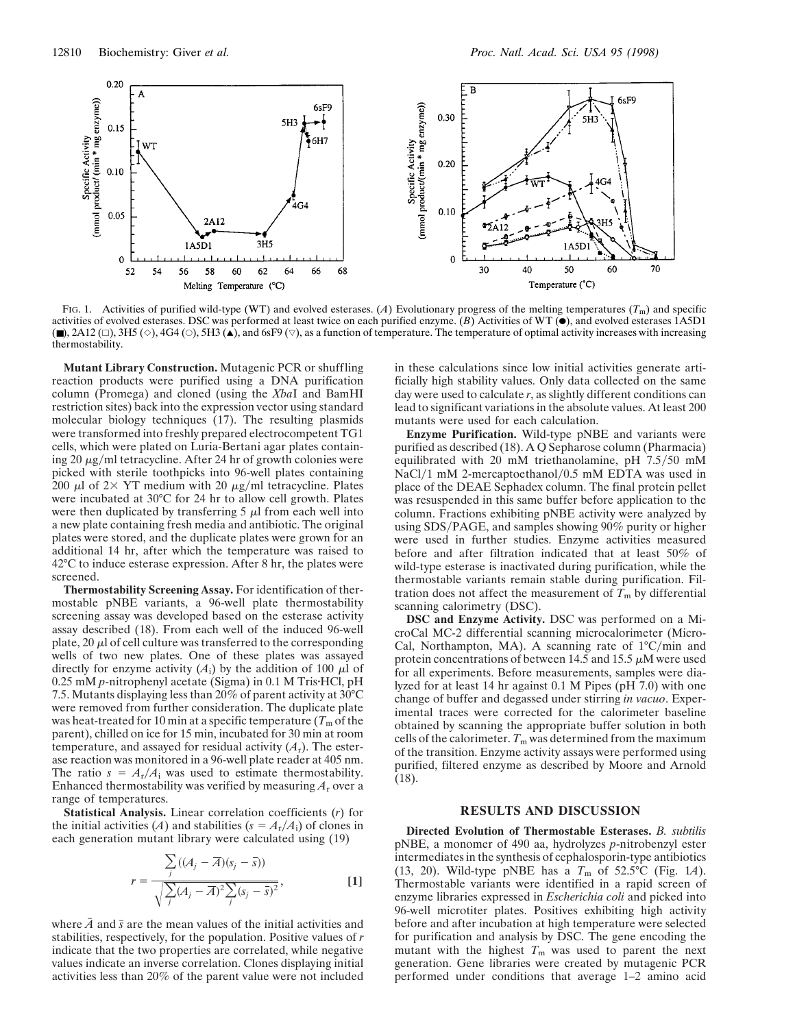

FIG. 1. Activities of purified wild-type (WT) and evolved esterases. (A) Evolutionary progress of the melting temperatures  $(T<sub>m</sub>)$  and specific activities of evolved esterases. DSC was performed at least twice on each purified enzyme. (*B*) Activities of WT ( $\bullet$ ), and evolved esterases 1A5D1  $(\blacksquare)$ , 2A12 ( $\Box$ ), 3H5 ( $\diamond$ ), 4G4 ( $\odot$ ), 5H3 ( $\blacktriangle$ ), and 6sF9 ( $\triangledown$ ), as a function of temperature. The temperature of optimal activity increases with increasing thermostability.

**Mutant Library Construction.** Mutagenic PCR or shuffling reaction products were purified using a DNA purification column (Promega) and cloned (using the *Xba*I and BamHI restriction sites) back into the expression vector using standard molecular biology techniques (17). The resulting plasmids were transformed into freshly prepared electrocompetent TG1 cells, which were plated on Luria-Bertani agar plates containing 20  $\mu$ g/ml tetracycline. After 24 hr of growth colonies were picked with sterile toothpicks into 96-well plates containing 200  $\mu$ l of 2× YT medium with 20  $\mu$ g/ml tetracycline. Plates were incubated at 30°C for 24 hr to allow cell growth. Plates were then duplicated by transferring  $5 \mu$  from each well into a new plate containing fresh media and antibiotic. The original plates were stored, and the duplicate plates were grown for an additional 14 hr, after which the temperature was raised to 42°C to induce esterase expression. After 8 hr, the plates were screened.

**Thermostability Screening Assay.** For identification of thermostable pNBE variants, a 96-well plate thermostability screening assay was developed based on the esterase activity assay described (18). From each well of the induced 96-well plate,  $20 \mu$ l of cell culture was transferred to the corresponding wells of two new plates. One of these plates was assayed directly for enzyme activity  $(A_i)$  by the addition of 100  $\mu$ l of 0.25 mM *p*-nitrophenyl acetate (Sigma) in 0.1 M Tris HCl, pH 7.5. Mutants displaying less than 20% of parent activity at 30°C were removed from further consideration. The duplicate plate was heat-treated for 10 min at a specific temperature  $(T<sub>m</sub>$  of the parent), chilled on ice for 15 min, incubated for 30 min at room temperature, and assayed for residual activity  $(A_r)$ . The esterase reaction was monitored in a 96-well plate reader at 405 nm. The ratio  $s = A_r/A_i$  was used to estimate thermostability. Enhanced thermostability was verified by measuring  $A_r$  over a range of temperatures.

**Statistical Analysis.** Linear correlation coefficients (*r*) for the initial activities (*A*) and stabilities ( $s = A_r/A_i$ ) of clones in each generation mutant library were calculated using (19)

*r* 

$$
= \frac{\sum_{j} ((A_j - \overline{A})(s_j - \overline{s}))}{\sqrt{\sum_{j} (A_j - \overline{A})^2 \sum_{j} (s_j - \overline{s})^2}},
$$
 [1]

where  $A$  and  $\bar{s}$  are the mean values of the initial activities and stabilities, respectively, for the population. Positive values of *r* indicate that the two properties are correlated, while negative values indicate an inverse correlation. Clones displaying initial activities less than 20% of the parent value were not included in these calculations since low initial activities generate artificially high stability values. Only data collected on the same day were used to calculate *r*, as slightly different conditions can lead to significant variations in the absolute values. At least 200 mutants were used for each calculation.

**Enzyme Purification.** Wild-type pNBE and variants were purified as described (18). A Q Sepharose column (Pharmacia) equilibrated with 20 mM triethanolamine, pH  $7.5/50$  mM NaCl/1 mM 2-mercaptoethanol/0.5 mM EDTA was used in place of the DEAE Sephadex column. The final protein pellet was resuspended in this same buffer before application to the column. Fractions exhibiting pNBE activity were analyzed by using SDS/PAGE, and samples showing 90% purity or higher were used in further studies. Enzyme activities measured before and after filtration indicated that at least 50% of wild-type esterase is inactivated during purification, while the thermostable variants remain stable during purification. Filtration does not affect the measurement of  $T<sub>m</sub>$  by differential scanning calorimetry (DSC).

**DSC and Enzyme Activity.** DSC was performed on a MicroCal MC-2 differential scanning microcalorimeter (Micro-Cal, Northampton, MA). A scanning rate of  $1^{\circ}C/\text{min}$  and protein concentrations of between 14.5 and 15.5  $\mu$ M were used for all experiments. Before measurements, samples were dialyzed for at least 14 hr against 0.1 M Pipes (pH 7.0) with one change of buffer and degassed under stirring *in vacuo*. Experimental traces were corrected for the calorimeter baseline obtained by scanning the appropriate buffer solution in both cells of the calorimeter.  $T_m$  was determined from the maximum of the transition. Enzyme activity assays were performed using purified, filtered enzyme as described by Moore and Arnold (18).

## **RESULTS AND DISCUSSION**

**Directed Evolution of Thermostable Esterases.** *B. subtilis* pNBE, a monomer of 490 aa, hydrolyzes *p*-nitrobenzyl ester intermediates in the synthesis of cephalosporin-type antibiotics (13, 20). Wild-type pNBE has a  $T_m$  of 52.5°C (Fig. 1*A*). Thermostable variants were identified in a rapid screen of enzyme libraries expressed in *Escherichia coli* and picked into 96-well microtiter plates. Positives exhibiting high activity before and after incubation at high temperature were selected for purification and analysis by DSC. The gene encoding the mutant with the highest  $T_m$  was used to parent the next generation. Gene libraries were created by mutagenic PCR performed under conditions that average 1–2 amino acid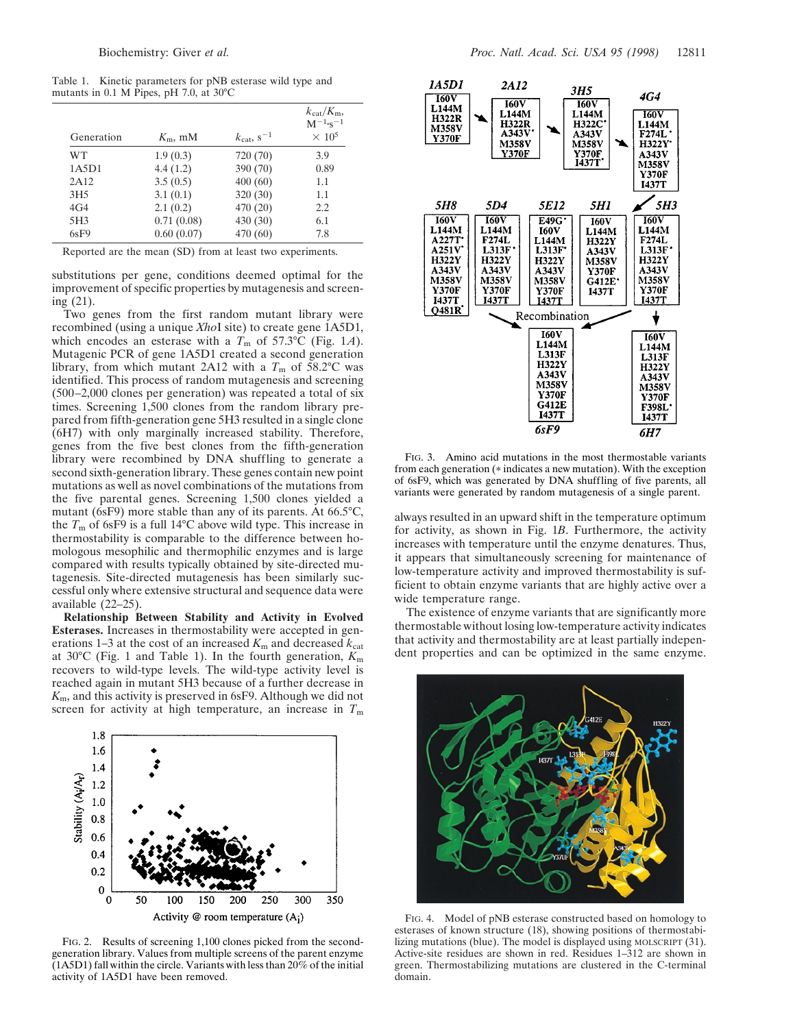Table 1. Kinetic parameters for pNB esterase wild type and mutants in 0.1 M Pipes, pH 7.0, at 30°C

| Generation      | $K_{\rm m}$ , mM | $k_{\text{cat}}$ , $s^{-1}$ | $k_{\text{cat}}/K_{\text{m}}$<br>$M^{-1}$ -s <sup>-1</sup><br>$\times 10^5$ |
|-----------------|------------------|-----------------------------|-----------------------------------------------------------------------------|
| WТ              | 1.9(0.3)         | 720 (70)                    | 3.9                                                                         |
| 1A5D1           | 4.4(1.2)         | 390 (70)                    | 0.89                                                                        |
| 2A12            | 3.5(0.5)         | 400(60)                     | 1.1                                                                         |
| 3H <sub>5</sub> | 3.1(0.1)         | 320 (30)                    | 1.1                                                                         |
| 4G <sub>4</sub> | 2.1(0.2)         | 470 (20)                    | 2.2                                                                         |
| 5H <sub>3</sub> | 0.71(0.08)       | 430 (30)                    | 6.1                                                                         |
| 6sF9            | 0.60(0.07)       | 470 (60)                    | 7.8                                                                         |

Reported are the mean (SD) from at least two experiments.

substitutions per gene, conditions deemed optimal for the improvement of specific properties by mutagenesis and screening (21).

Two genes from the first random mutant library were recombined (using a unique *Xho*I site) to create gene 1A5D1, which encodes an esterase with a  $T_m$  of 57.3°C (Fig. 1*A*). Mutagenic PCR of gene 1A5D1 created a second generation library, from which mutant 2A12 with a  $T<sub>m</sub>$  of 58.2°C was identified. This process of random mutagenesis and screening (500–2,000 clones per generation) was repeated a total of six times. Screening 1,500 clones from the random library prepared from fifth-generation gene 5H3 resulted in a single clone (6H7) with only marginally increased stability. Therefore, genes from the five best clones from the fifth-generation library were recombined by DNA shuffling to generate a second sixth-generation library. These genes contain new point mutations as well as novel combinations of the mutations from the five parental genes. Screening 1,500 clones yielded a mutant (6sF9) more stable than any of its parents. At 66.5°C, the *T*<sup>m</sup> of 6sF9 is a full 14°C above wild type. This increase in thermostability is comparable to the difference between homologous mesophilic and thermophilic enzymes and is large compared with results typically obtained by site-directed mutagenesis. Site-directed mutagenesis has been similarly successful only where extensive structural and sequence data were available (22–25).

**Relationship Between Stability and Activity in Evolved Esterases.** Increases in thermostability were accepted in generations 1–3 at the cost of an increased  $K<sub>m</sub>$  and decreased  $k<sub>cat</sub>$ at 30°C (Fig. 1 and Table 1). In the fourth generation, *K*<sup>m</sup> recovers to wild-type levels. The wild-type activity level is reached again in mutant 5H3 because of a further decrease in *K*m, and this activity is preserved in 6sF9. Although we did not screen for activity at high temperature, an increase in  $T<sub>m</sub>$ 



FIG. 2. Results of screening 1,100 clones picked from the secondgeneration library. Values from multiple screens of the parent enzyme (1A5D1) fall within the circle. Variants with less than 20% of the initial activity of 1A5D1 have been removed.



FIG. 3. Amino acid mutations in the most thermostable variants from each generation (\* indicates a new mutation). With the exception of 6sF9, which was generated by DNA shuffling of five parents, all variants were generated by random mutagenesis of a single parent.

always resulted in an upward shift in the temperature optimum for activity, as shown in Fig. 1*B*. Furthermore, the activity increases with temperature until the enzyme denatures. Thus, it appears that simultaneously screening for maintenance of low-temperature activity and improved thermostability is sufficient to obtain enzyme variants that are highly active over a wide temperature range.

The existence of enzyme variants that are significantly more thermostable without losing low-temperature activity indicates that activity and thermostability are at least partially independent properties and can be optimized in the same enzyme.



FIG. 4. Model of pNB esterase constructed based on homology to esterases of known structure (18), showing positions of thermostabilizing mutations (blue). The model is displayed using MOLSCRIPT (31). Active-site residues are shown in red. Residues 1–312 are shown in green. Thermostabilizing mutations are clustered in the C-terminal domain.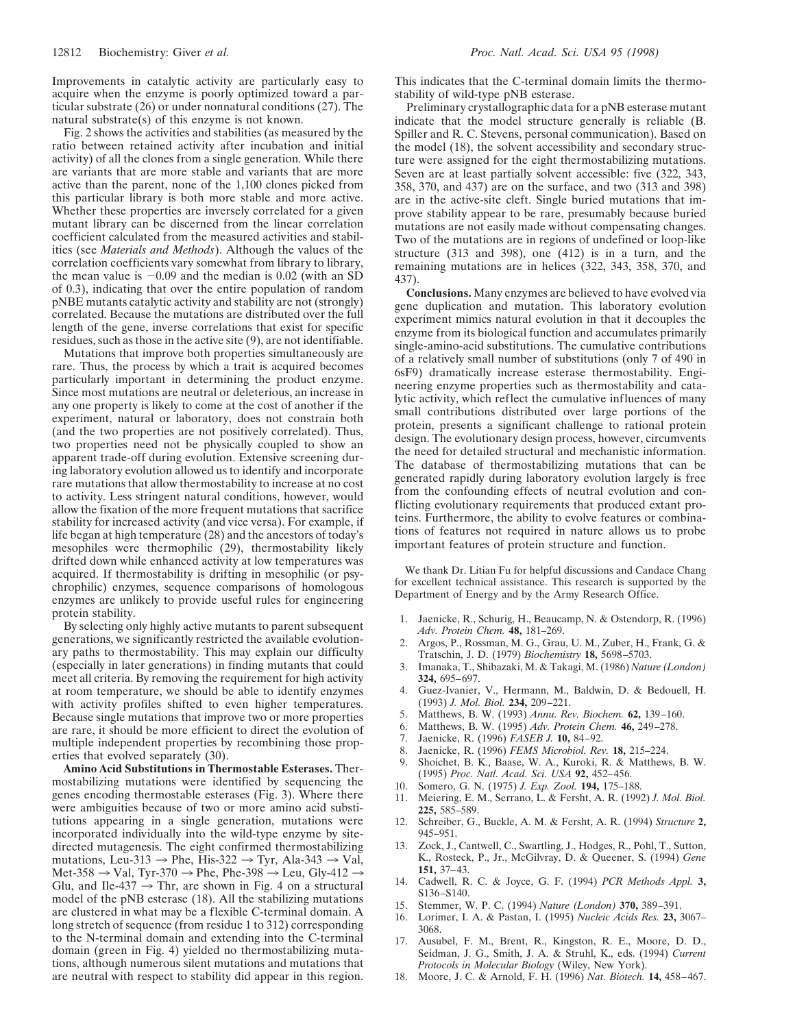Improvements in catalytic activity are particularly easy to acquire when the enzyme is poorly optimized toward a particular substrate (26) or under nonnatural conditions (27). The natural substrate(s) of this enzyme is not known.

Fig. 2 shows the activities and stabilities (as measured by the ratio between retained activity after incubation and initial activity) of all the clones from a single generation. While there are variants that are more stable and variants that are more active than the parent, none of the 1,100 clones picked from this particular library is both more stable and more active. Whether these properties are inversely correlated for a given mutant library can be discerned from the linear correlation coefficient calculated from the measured activities and stabilities (see *Materials and Methods*). Although the values of the correlation coefficients vary somewhat from library to library, the mean value is  $-0.09$  and the median is 0.02 (with an SD of 0.3), indicating that over the entire population of random pNBE mutants catalytic activity and stability are not (strongly) correlated. Because the mutations are distributed over the full length of the gene, inverse correlations that exist for specific residues, such as those in the active site (9), are not identifiable.

Mutations that improve both properties simultaneously are rare. Thus, the process by which a trait is acquired becomes particularly important in determining the product enzyme. Since most mutations are neutral or deleterious, an increase in any one property is likely to come at the cost of another if the experiment, natural or laboratory, does not constrain both (and the two properties are not positively correlated). Thus, two properties need not be physically coupled to show an apparent trade-off during evolution. Extensive screening during laboratory evolution allowed us to identify and incorporate rare mutations that allow thermostability to increase at no cost to activity. Less stringent natural conditions, however, would allow the fixation of the more frequent mutations that sacrifice stability for increased activity (and vice versa). For example, if life began at high temperature (28) and the ancestors of today's mesophiles were thermophilic (29), thermostability likely drifted down while enhanced activity at low temperatures was acquired. If thermostability is drifting in mesophilic (or psychrophilic) enzymes, sequence comparisons of homologous enzymes are unlikely to provide useful rules for engineering protein stability.

By selecting only highly active mutants to parent subsequent generations, we significantly restricted the available evolutionary paths to thermostability. This may explain our difficulty (especially in later generations) in finding mutants that could meet all criteria. By removing the requirement for high activity at room temperature, we should be able to identify enzymes with activity profiles shifted to even higher temperatures. Because single mutations that improve two or more properties are rare, it should be more efficient to direct the evolution of multiple independent properties by recombining those properties that evolved separately (30).

**Amino Acid Substitutions in Thermostable Esterases.** Thermostabilizing mutations were identified by sequencing the genes encoding thermostable esterases (Fig. 3). Where there were ambiguities because of two or more amino acid substitutions appearing in a single generation, mutations were incorporated individually into the wild-type enzyme by sitedirected mutagenesis. The eight confirmed thermostabilizing mutations, Leu-313  $\rightarrow$  Phe, His-322  $\rightarrow$  Tyr, Ala-343  $\rightarrow$  Val, Met-358  $\rightarrow$  Val, Tyr-370  $\rightarrow$  Phe, Phe-398  $\rightarrow$  Leu, Gly-412  $\rightarrow$ Glu, and Ile-437  $\rightarrow$  Thr, are shown in Fig. 4 on a structural model of the pNB esterase (18). All the stabilizing mutations are clustered in what may be a flexible C-terminal domain. A long stretch of sequence (from residue 1 to 312) corresponding to the N-terminal domain and extending into the C-terminal domain (green in Fig. 4) yielded no thermostabilizing mutations, although numerous silent mutations and mutations that are neutral with respect to stability did appear in this region.

This indicates that the C-terminal domain limits the thermostability of wild-type pNB esterase.

Preliminary crystallographic data for a pNB esterase mutant indicate that the model structure generally is reliable (B. Spiller and R. C. Stevens, personal communication). Based on the model (18), the solvent accessibility and secondary structure were assigned for the eight thermostabilizing mutations. Seven are at least partially solvent accessible: five (322, 343, 358, 370, and 437) are on the surface, and two (313 and 398) are in the active-site cleft. Single buried mutations that improve stability appear to be rare, presumably because buried mutations are not easily made without compensating changes. Two of the mutations are in regions of undefined or loop-like structure (313 and 398), one (412) is in a turn, and the remaining mutations are in helices (322, 343, 358, 370, and 437).

**Conclusions.** Many enzymes are believed to have evolved via gene duplication and mutation. This laboratory evolution experiment mimics natural evolution in that it decouples the enzyme from its biological function and accumulates primarily single-amino-acid substitutions. The cumulative contributions of a relatively small number of substitutions (only 7 of 490 in 6sF9) dramatically increase esterase thermostability. Engineering enzyme properties such as thermostability and catalytic activity, which reflect the cumulative influences of many small contributions distributed over large portions of the protein, presents a significant challenge to rational protein design. The evolutionary design process, however, circumvents the need for detailed structural and mechanistic information. The database of thermostabilizing mutations that can be generated rapidly during laboratory evolution largely is free from the confounding effects of neutral evolution and conflicting evolutionary requirements that produced extant proteins. Furthermore, the ability to evolve features or combinations of features not required in nature allows us to probe important features of protein structure and function.

We thank Dr. Litian Fu for helpful discussions and Candace Chang for excellent technical assistance. This research is supported by the Department of Energy and by the Army Research Office.

- 1. Jaenicke, R., Schurig, H., Beaucamp, N. & Ostendorp, R. (1996) *Adv. Protein Chem.* **48,** 181–269.
- 2. Argos, P., Rossman, M. G., Grau, U. M., Zuber, H., Frank, G. & Tratschin, J. D. (1979) *Biochemistry* **18,** 5698–5703.
- 3. Imanaka, T., Shibazaki, M. & Takagi, M. (1986) *Nature (London)* **324,** 695–697.
- 4. Guez-Ivanier, V., Hermann, M., Baldwin, D. & Bedouell, H. (1993) *J. Mol. Biol.* **234,** 209–221.
- 5. Matthews, B. W. (1993) *Annu. Rev. Biochem.* **62,** 139–160.
- 6. Matthews, B. W. (1995) *Adv. Protein Chem.* **46,** 249–278.
- 7. Jaenicke, R. (1996) *FASEB J.* **10,** 84–92.
- 8. Jaenicke, R. (1996) *FEMS Microbiol. Rev.* **18,** 215–224.
- 9. Shoichet, B. K., Baase, W. A., Kuroki, R. & Matthews, B. W. (1995) *Proc. Natl. Acad. Sci. USA* **92,** 452–456.
- 10. Somero, G. N. (1975) *J. Exp. Zool.* **194,** 175–188.
- 11. Meiering, E. M., Serrano, L. & Fersht, A. R. (1992) *J. Mol. Biol.* **225,** 585–589.
- 12. Schreiber, G., Buckle, A. M. & Fersht, A. R. (1994) *Structure* **2,** 945–951.
- 13. Zock, J., Cantwell, C., Swartling, J., Hodges, R., Pohl, T., Sutton, K., Rosteck, P., Jr., McGilvray, D. & Queener, S. (1994) *Gene* **151,** 37–43.
- 14. Cadwell, R. C. & Joyce, G. F. (1994) *PCR Methods Appl.* **3,** S136–S140.
- 15. Stemmer, W. P. C. (1994) *Nature (London)* **370,** 389–391.
- 16. Lorimer, I. A. & Pastan, I. (1995) *Nucleic Acids Res.* **23,** 3067– 3068.
- 17. Ausubel, F. M., Brent, R., Kingston, R. E., Moore, D. D., Seidman, J. G., Smith, J. A. & Struhl, K., eds. (1994) *Current Protocols in Molecular Biology* (Wiley, New York).
- 18. Moore, J. C. & Arnold, F. H. (1996) *Nat. Biotech.* **14,** 458–467.